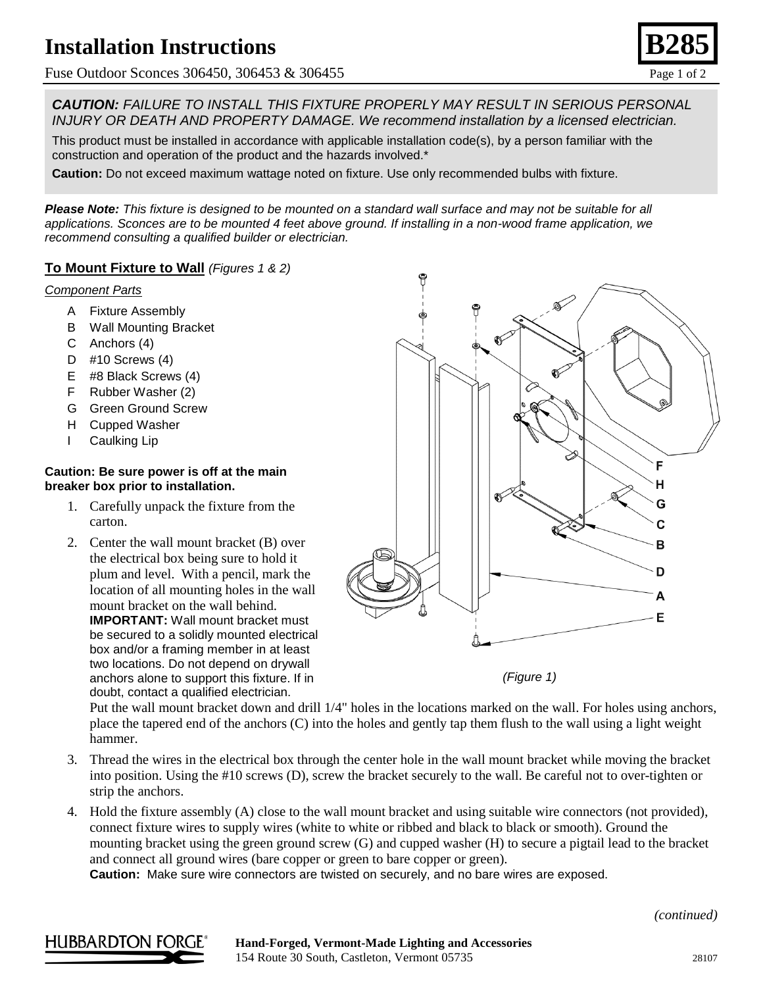## **Installation Instructions**

Fuse Outdoor Sconces 306450, 306453 & 306455 Page 1 of 2

*CAUTION: FAILURE TO INSTALL THIS FIXTURE PROPERLY MAY RESULT IN SERIOUS PERSONAL INJURY OR DEATH AND PROPERTY DAMAGE. We recommend installation by a licensed electrician.*

This product must be installed in accordance with applicable installation code(s), by a person familiar with the construction and operation of the product and the hazards involved.\*

**Caution:** Do not exceed maximum wattage noted on fixture. Use only recommended bulbs with fixture.

*Please Note: This fixture is designed to be mounted on a standard wall surface and may not be suitable for all applications. Sconces are to be mounted 4 feet above ground. If installing in a non-wood frame application, we recommend consulting a qualified builder or electrician.*

#### **To Mount Fixture to Wall** *(Figures 1 & 2)*

#### *Component Parts*

- A Fixture Assembly
- B Wall Mounting Bracket
- C Anchors (4)
- D #10 Screws (4)
- E #8 Black Screws (4)
- F Rubber Washer (2)
- G Green Ground Screw
- H Cupped Washer
- I Caulking Lip

#### **Caution: Be sure power is off at the main breaker box prior to installation.**

- 1. Carefully unpack the fixture from the carton.
- 2. Center the wall mount bracket (B) over the electrical box being sure to hold it plum and level. With a pencil, mark the location of all mounting holes in the wall mount bracket on the wall behind. **IMPORTANT:** Wall mount bracket must be secured to a solidly mounted electrical box and/or a framing member in at least two locations. Do not depend on drywall anchors alone to support this fixture. If in doubt, contact a qualified electrician.



*(Figure 1)*

Put the wall mount bracket down and drill 1/4" holes in the locations marked on the wall. For holes using anchors, place the tapered end of the anchors (C) into the holes and gently tap them flush to the wall using a light weight hammer.

- 3. Thread the wires in the electrical box through the center hole in the wall mount bracket while moving the bracket into position. Using the #10 screws (D), screw the bracket securely to the wall. Be careful not to over-tighten or strip the anchors.
- 4. Hold the fixture assembly (A) close to the wall mount bracket and using suitable wire connectors (not provided), connect fixture wires to supply wires (white to white or ribbed and black to black or smooth). Ground the mounting bracket using the green ground screw (G) and cupped washer (H) to secure a pigtail lead to the bracket and connect all ground wires (bare copper or green to bare copper or green).

**Caution:** Make sure wire connectors are twisted on securely, and no bare wires are exposed.